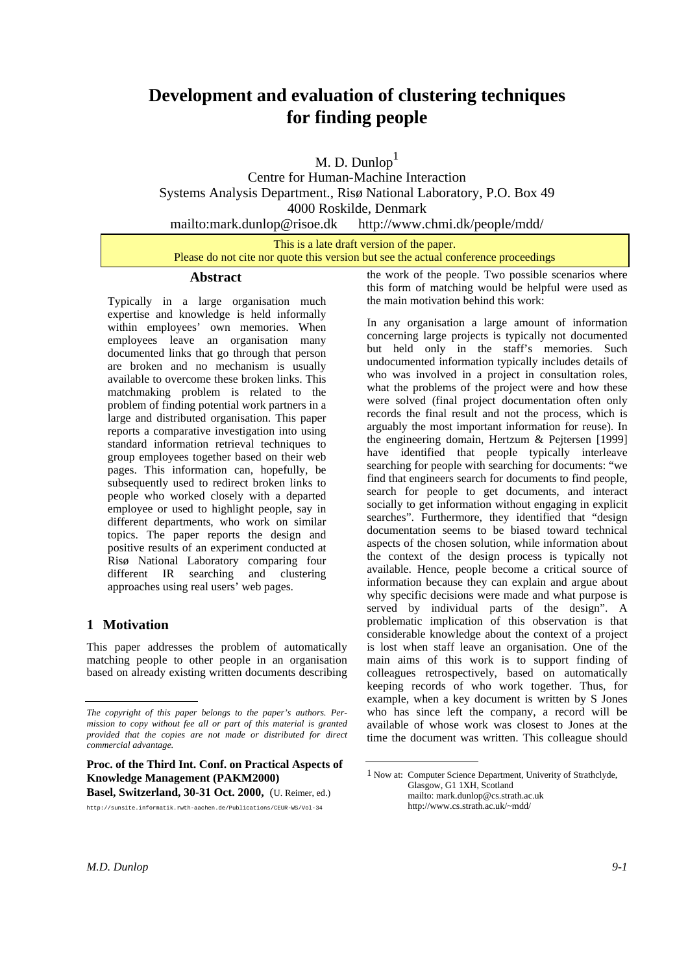# **Development and evaluation of clustering techniques for finding people**

M. D. Dunlop $<sup>1</sup>$ </sup>

Centre for Human-Machine Interaction Systems Analysis Department., Risø National Laboratory, P.O. Box 49 4000 Roskilde, Denmark

mailto:mark.dunlop@risoe.dk http://www.chmi.dk/people/mdd/

This is a late draft version of the paper. Please do not cite nor quote this version but see the actual conference proceedings

## **Abstract**

Typically in a large organisation much expertise and knowledge is held informally within employees' own memories. When employees leave an organisation many documented links that go through that person are broken and no mechanism is usually available to overcome these broken links. This matchmaking problem is related to the problem of finding potential work partners in a large and distributed organisation. This paper reports a comparative investigation into using standard information retrieval techniques to group employees together based on their web pages. This information can, hopefully, be subsequently used to redirect broken links to people who worked closely with a departed employee or used to highlight people, say in different departments, who work on similar topics. The paper reports the design and positive results of an experiment conducted at Risø National Laboratory comparing four different IR searching and clustering approaches using real users' web pages.

# **1 Motivation**

This paper addresses the problem of automatically matching people to other people in an organisation based on already existing written documents describing

**Basel, Switzerland, 30-31 Oct. 2000,** (U. Reimer, ed.)

the work of the people. Two possible scenarios where this form of matching would be helpful were used as the main motivation behind this work: <sup>1</sup>

In any organisation a large amount of information concerning large projects is typically not documented but held only in the staff's memories. Such undocumented information typically includes details of who was involved in a project in consultation roles, what the problems of the project were and how these were solved (final project documentation often only records the final result and not the process, which is arguably the most important information for reuse). In the engineering domain, Hertzum & Pejtersen [1999] have identified that people typically interleave searching for people with searching for documents: "we find that engineers search for documents to find people, search for people to get documents, and interact socially to get information without engaging in explicit searches". Furthermore, they identified that "design documentation seems to be biased toward technical aspects of the chosen solution, while information about the context of the design process is typically not available. Hence, people become a critical source of information because they can explain and argue about why specific decisions were made and what purpose is served by individual parts of the design". A problematic implication of this observation is that considerable knowledge about the context of a project is lost when staff leave an organisation. One of the main aims of this work is to support finding of colleagues retrospectively, based on automatically keeping records of who work together. Thus, for example, when a key document is written by S Jones who has since left the company, a record will be available of whose work was closest to Jones at the time the document was written. This colleague should

*The copyright of this paper belongs to the paper's authors. Permission to copy without fee all or part of this material is granted provided that the copies are not made or distributed for direct commercial advantage.*

**Proc. of the Third Int. Conf. on Practical Aspects of Knowledge Management (PAKM2000)**

http://sunsite.informatik.rwth-aachen.de/Publications/CEUR-WS/Vol-34

<sup>1</sup> Now at: Computer Science Department, Univerity of Strathclyde, Glasgow, G1 1XH, Scotland mailto: mark.dunlop@cs.strath.ac.uk http://www.cs.strath.ac.uk/~mdd/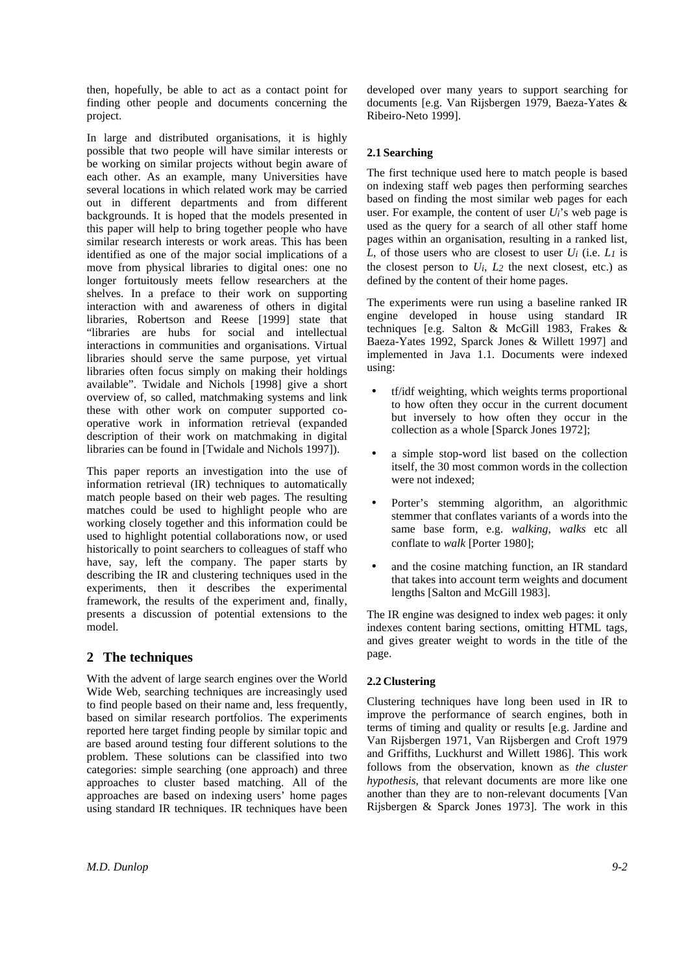then, hopefully, be able to act as a contact point for finding other people and documents concerning the project.

In large and distributed organisations, it is highly possible that two people will have similar interests or be working on similar projects without begin aware of each other. As an example, many Universities have several locations in which related work may be carried out in different departments and from different backgrounds. It is hoped that the models presented in this paper will help to bring together people who have similar research interests or work areas. This has been identified as one of the major social implications of a move from physical libraries to digital ones: one no longer fortuitously meets fellow researchers at the shelves. In a preface to their work on supporting interaction with and awareness of others in digital libraries, Robertson and Reese [1999] state that "libraries are hubs for social and intellectual interactions in communities and organisations. Virtual libraries should serve the same purpose, yet virtual libraries often focus simply on making their holdings available". Twidale and Nichols [1998] give a short overview of, so called, matchmaking systems and link these with other work on computer supported cooperative work in information retrieval (expanded description of their work on matchmaking in digital libraries can be found in [Twidale and Nichols 1997]).

This paper reports an investigation into the use of information retrieval (IR) techniques to automatically match people based on their web pages. The resulting matches could be used to highlight people who are working closely together and this information could be used to highlight potential collaborations now, or used historically to point searchers to colleagues of staff who have, say, left the company. The paper starts by describing the IR and clustering techniques used in the experiments, then it describes the experimental framework, the results of the experiment and, finally, presents a discussion of potential extensions to the model.

# **2 The techniques**

With the advent of large search engines over the World Wide Web, searching techniques are increasingly used to find people based on their name and, less frequently, based on similar research portfolios. The experiments reported here target finding people by similar topic and are based around testing four different solutions to the problem. These solutions can be classified into two categories: simple searching (one approach) and three approaches to cluster based matching. All of the approaches are based on indexing users' home pages using standard IR techniques. IR techniques have been developed over many years to support searching for documents [e.g. Van Rijsbergen 1979, Baeza-Yates & Ribeiro-Neto 1999].

## **2.1 Searching**

The first technique used here to match people is based on indexing staff web pages then performing searches based on finding the most similar web pages for each user. For example, the content of user  $U_i$ 's web page is used as the query for a search of all other staff home pages within an organisation, resulting in a ranked list, *L*, of those users who are closest to user *Ui* (i.e. *L1* is the closest person to  $U_i$ ,  $L_2$  the next closest, etc.) as defined by the content of their home pages.

The experiments were run using a baseline ranked IR engine developed in house using standard IR techniques [e.g. Salton & McGill 1983, Frakes & Baeza-Yates 1992, Sparck Jones & Willett 1997] and implemented in Java 1.1. Documents were indexed using:

- tf/idf weighting, which weights terms proportional to how often they occur in the current document but inversely to how often they occur in the collection as a whole [Sparck Jones 1972];
- a simple stop-word list based on the collection itself, the 30 most common words in the collection were not indexed;
- Porter's stemming algorithm, an algorithmic stemmer that conflates variants of a words into the same base form, e.g. *walking*, *walks* etc all conflate to *walk* [Porter 1980];
- and the cosine matching function, an IR standard that takes into account term weights and document lengths [Salton and McGill 1983].

The IR engine was designed to index web pages: it only indexes content baring sections, omitting HTML tags, and gives greater weight to words in the title of the page.

#### **2.2 Clustering**

Clustering techniques have long been used in IR to improve the performance of search engines, both in terms of timing and quality or results [e.g. Jardine and Van Rijsbergen 1971, Van Rijsbergen and Croft 1979 and Griffiths, Luckhurst and Willett 1986]. This work follows from the observation, known as *the cluster hypothesis*, that relevant documents are more like one another than they are to non-relevant documents [Van Rijsbergen & Sparck Jones 1973]. The work in this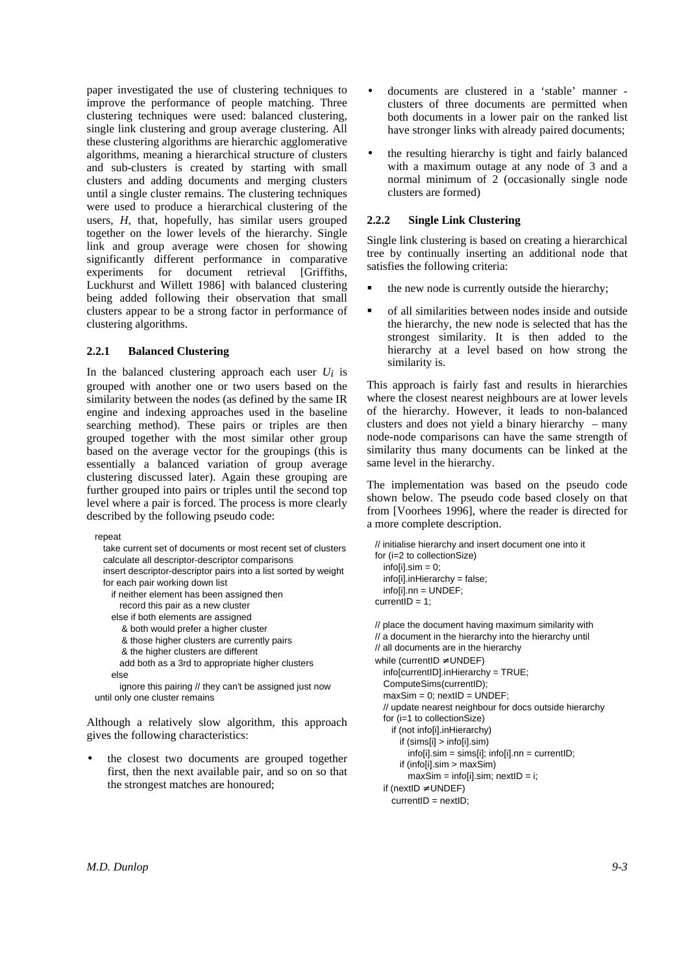paper investigated the use of clustering techniques to improve the performance of people matching. Three clustering techniques were used: balanced clustering, single link clustering and group average clustering. All these clustering algorithms are hierarchic agglomerative algorithms, meaning a hierarchical structure of clusters and sub-clusters is created by starting with small clusters and adding documents and merging clusters until a single cluster remains. The clustering techniques were used to produce a hierarchical clustering of the users, *H*, that, hopefully, has similar users grouped together on the lower levels of the hierarchy. Single link and group average were chosen for showing significantly different performance in comparative experiments for document retrieval [Griffiths, Luckhurst and Willett 1986] with balanced clustering being added following their observation that small clusters appear to be a strong factor in performance of clustering algorithms.

#### **2.2.1 Balanced Clustering**

In the balanced clustering approach each user  $U_i$  is grouped with another one or two users based on the similarity between the nodes (as defined by the same IR engine and indexing approaches used in the baseline searching method). These pairs or triples are then grouped together with the most similar other group based on the average vector for the groupings (this is essentially a balanced variation of group average clustering discussed later). Again these grouping are further grouped into pairs or triples until the second top level where a pair is forced. The process is more clearly described by the following pseudo code:

repeat

```
take current set of documents or most recent set of clusters
calculate all descriptor-descriptor comparisons
insert descriptor-descriptor pairs into a list sorted by weight
for each pair working down list
  if neither element has been assigned then
    record this pair as a new cluster
  else if both elements are assigned
    & both would prefer a higher cluster
    & those higher clusters are currently pairs
    & the higher clusters are different
    add both as a 3rd to appropriate higher clusters
  else
    ignore this pairing // they can't be assigned just now
```
until only one cluster remains

Although a relatively slow algorithm, this approach gives the following characteristics:

the closest two documents are grouped together first, then the next available pair, and so on so that the strongest matches are honoured;

- documents are clustered in a 'stable' manner clusters of three documents are permitted when both documents in a lower pair on the ranked list have stronger links with already paired documents;
- the resulting hierarchy is tight and fairly balanced with a maximum outage at any node of 3 and a normal minimum of 2 (occasionally single node clusters are formed)

## **2.2.2 Single Link Clustering**

Single link clustering is based on creating a hierarchical tree by continually inserting an additional node that satisfies the following criteria:

- the new node is currently outside the hierarchy;
- of all similarities between nodes inside and outside the hierarchy, the new node is selected that has the strongest similarity. It is then added to the hierarchy at a level based on how strong the similarity is.

This approach is fairly fast and results in hierarchies where the closest nearest neighbours are at lower levels of the hierarchy. However, it leads to non-balanced clusters and does not yield a binary hierarchy – many node-node comparisons can have the same strength of similarity thus many documents can be linked at the same level in the hierarchy.

The implementation was based on the pseudo code shown below. The pseudo code based closely on that from [Voorhees 1996], where the reader is directed for a more complete description.

```
// initialise hierarchy and insert document one into it
for (i=2 to collectionSize)
  info[i].sim = 0;info[i].inHierarchy = false;
  info[i].nn = UNDEF;
currentID = 1:
// place the document having maximum similarity with
// a document in the hierarchy into the hierarchy until
// all documents are in the hierarchy
while (currentID \neq UNDEF)
  info[currentID].inHierarchy = TRUE;
```

```
ComputeSims(currentID);
maxSim = 0; nextID = UNDEF;
// update nearest neighbour for docs outside hierarchy
for (i=1 to collectionSize)
  if (not info[i].inHierarchy)
    if (sims[i] > info[i].sim)
      info[i].sim = sims[i]; info[i].nn = currentID;if (info[i].sim > maxSim)
      maxSim = info[i].sim; nextID = i;
if (nextID \neq UNDEF)
```

```
currentID = nextID;
```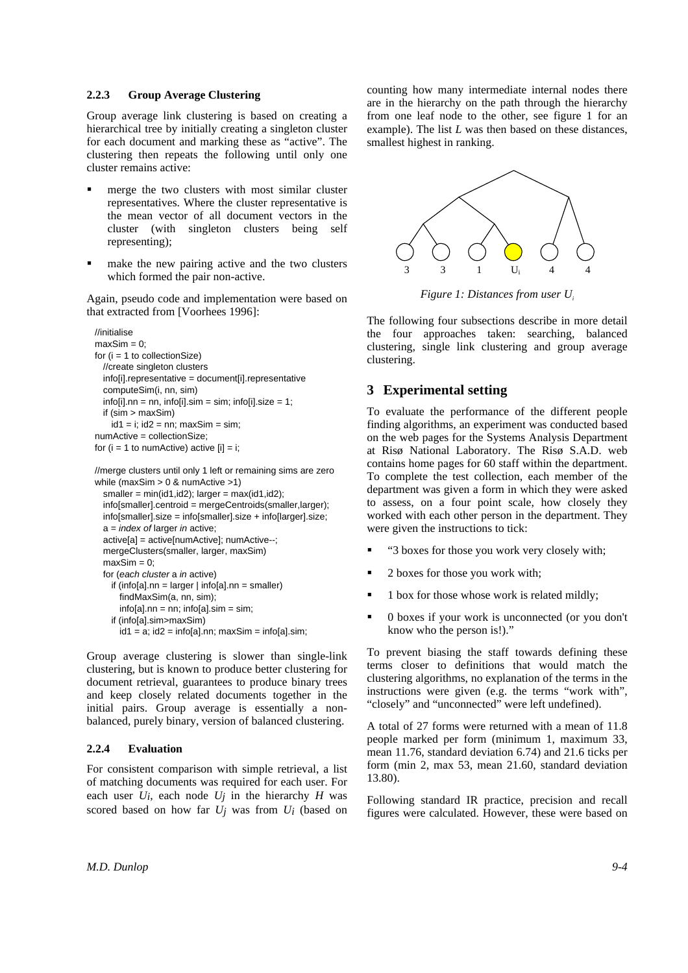#### **2.2.3 Group Average Clustering**

Group average link clustering is based on creating a hierarchical tree by initially creating a singleton cluster for each document and marking these as "active". The clustering then repeats the following until only one cluster remains active:

- merge the two clusters with most similar cluster representatives. Where the cluster representative is the mean vector of all document vectors in the cluster (with singleton clusters being self representing);
- make the new pairing active and the two clusters which formed the pair non-active.

Again, pseudo code and implementation were based on that extracted from [Voorhees 1996]:

```
//initialise
maxSim = 0;
for (i = 1 to collectionSize)
  //create singleton clusters
  info[i].representative = document[i].representative
  computeSim(i, nn, sim)
  info[i].nn = nn, info[i].sim = sim; info[i].size = 1;
  if (sim > maxSim)
    id1 = i; id2 = nn; maxSim = sim;
numActive = collectionSize;
for (i = 1 to numActive) active [i] = i;
```
//merge clusters until only 1 left or remaining sims are zero while (maxSim > 0 & numActive >1)  $smaller = min(id1, id2); larger = max(id1, id2);$ 

```
info[smaller].centroid = mergeCentroids(smaller,larger);
info[smaller].size = info[smaller].size + info[larger].size;
a = index of larger in active;active[a] = active[numActive]; numActive--;
mergeClusters(smaller, larger, maxSim)
maxSim = 0:
for (each cluster a in active)
  if (info[a].nn = larger | info[a].nn = smaller)
    findMaxSim(a, nn, sim);
    info[a].nn = nn; info[a].sim = sim;
  if (info[a].sim>maxSim)
```
 $id1 = a$ ;  $id2 = info[a]$ .nn; maxSim = info[a].sim;

Group average clustering is slower than single-link clustering, but is known to produce better clustering for document retrieval, guarantees to produce binary trees and keep closely related documents together in the initial pairs. Group average is essentially a nonbalanced, purely binary, version of balanced clustering.

#### **2.2.4 Evaluation**

For consistent comparison with simple retrieval, a list of matching documents was required for each user. For each user  $U_i$ , each node  $U_j$  in the hierarchy  $H$  was scored based on how far  $U_j$  was from  $U_i$  (based on counting how many intermediate internal nodes there are in the hierarchy on the path through the hierarchy from one leaf node to the other, see figure 1 for an example). The list *L* was then based on these distances, smallest highest in ranking.



*Figure 1: Distances from user U<sup>i</sup>*

The following four subsections describe in more detail the four approaches taken: searching, balanced clustering, single link clustering and group average clustering.

## **3 Experimental setting**

To evaluate the performance of the different people finding algorithms, an experiment was conducted based on the web pages for the Systems Analysis Department at Risø National Laboratory. The Risø S.A.D. web contains home pages for 60 staff within the department. To complete the test collection, each member of the department was given a form in which they were asked to assess, on a four point scale, how closely they worked with each other person in the department. They were given the instructions to tick:

- "3 boxes for those you work very closely with;
- 2 boxes for those you work with;
- 1 box for those whose work is related mildly;
- 0 boxes if your work is unconnected (or you don't know who the person is!)."

To prevent biasing the staff towards defining these terms closer to definitions that would match the clustering algorithms, no explanation of the terms in the instructions were given (e.g. the terms "work with", "closely" and "unconnected" were left undefined).

A total of 27 forms were returned with a mean of 11.8 people marked per form (minimum 1, maximum 33, mean 11.76, standard deviation 6.74) and 21.6 ticks per form (min 2, max 53, mean 21.60, standard deviation 13.80).

Following standard IR practice, precision and recall figures were calculated. However, these were based on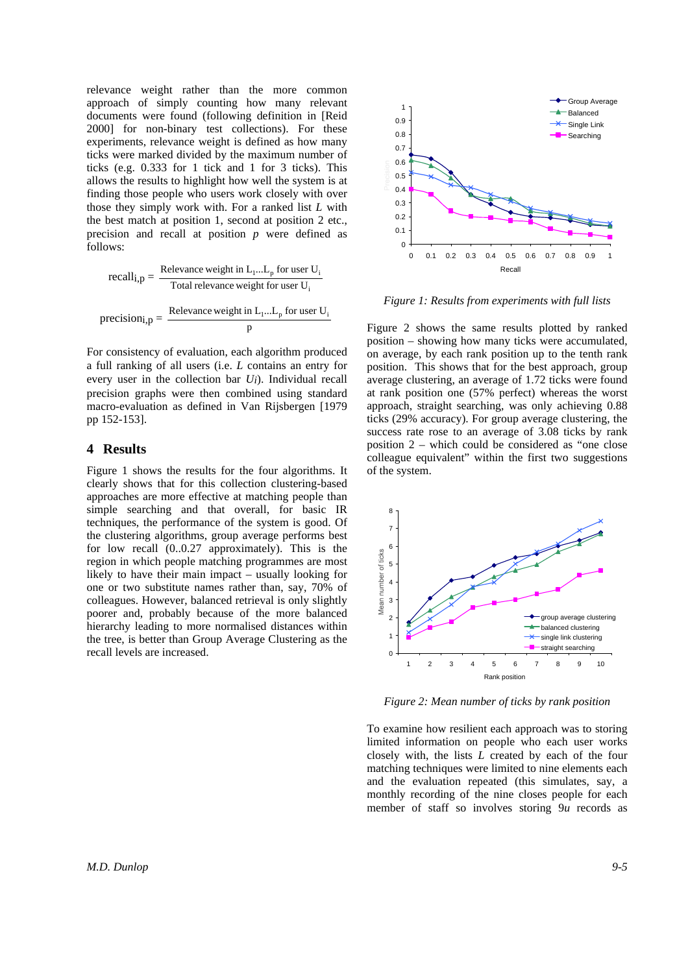relevance weight rather than the more common approach of simply counting how many relevant documents were found (following definition in [Reid 2000] for non-binary test collections). For these experiments, relevance weight is defined as how many ticks were marked divided by the maximum number of ticks (e.g. 0.333 for 1 tick and 1 for 3 ticks). This allows the results to highlight how well the system is at finding those people who users work closely with over those they simply work with. For a ranked list *L* with the best match at position 1, second at position 2 etc., precision and recall at position *p* were defined as follows:

recall<sub>i,p</sub> = 
$$
\frac{\text{Relevance weight in } L_1...L_p \text{ for user } U_i}{\text{Total relevance weight for user } U_i}
$$
precision<sub>i,p</sub> = 
$$
\frac{\text{Relevance weight in } L_1...L_p \text{ for user } U_i}{p}
$$

For consistency of evaluation, each algorithm produced a full ranking of all users (i.e. *L* contains an entry for every user in the collection bar *Ui*). Individual recall precision graphs were then combined using standard macro-evaluation as defined in Van Rijsbergen [1979 pp 152-153].

## **4 Results**

Figure 1 shows the results for the four algorithms. It clearly shows that for this collection clustering-based approaches are more effective at matching people than simple searching and that overall, for basic IR techniques, the performance of the system is good. Of the clustering algorithms, group average performs best for low recall (0..0.27 approximately). This is the region in which people matching programmes are most likely to have their main impact – usually looking for one or two substitute names rather than, say, 70% of colleagues. However, balanced retrieval is only slightly poorer and, probably because of the more balanced hierarchy leading to more normalised distances within the tree, is better than Group Average Clustering as the recall levels are increased.



*Figure 1: Results from experiments with full lists*

Figure 2 shows the same results plotted by ranked position – showing how many ticks were accumulated, on average, by each rank position up to the tenth rank position. This shows that for the best approach, group average clustering, an average of 1.72 ticks were found at rank position one (57% perfect) whereas the worst approach, straight searching, was only achieving 0.88 ticks (29% accuracy). For group average clustering, the success rate rose to an average of 3.08 ticks by rank position 2 – which could be considered as "one close colleague equivalent" within the first two suggestions of the system.



*Figure 2: Mean number of ticks by rank position*

To examine how resilient each approach was to storing limited information on people who each user works closely with, the lists *L* created by each of the four matching techniques were limited to nine elements each and the evaluation repeated (this simulates, say, a monthly recording of the nine closes people for each member of staff so involves storing 9*u* records as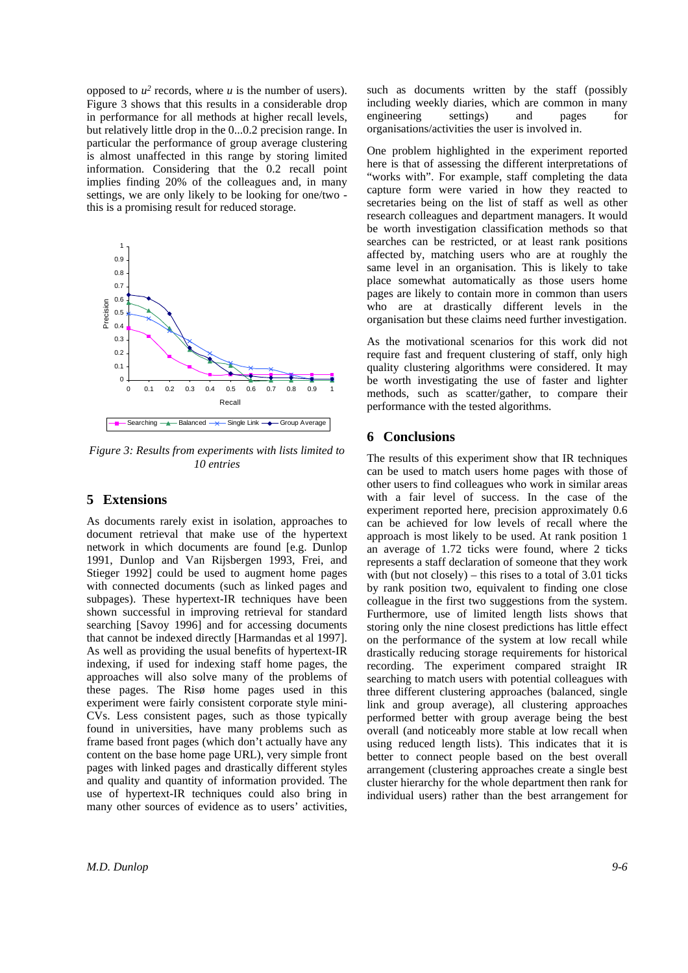opposed to  $u^2$  records, where  $u$  is the number of users). Figure 3 shows that this results in a considerable drop in performance for all methods at higher recall levels, but relatively little drop in the 0...0.2 precision range. In particular the performance of group average clustering is almost unaffected in this range by storing limited information. Considering that the 0.2 recall point implies finding 20% of the colleagues and, in many settings, we are only likely to be looking for one/two this is a promising result for reduced storage.



*Figure 3: Results from experiments with lists limited to 10 entries*

## **5 Extensions**

As documents rarely exist in isolation, approaches to document retrieval that make use of the hypertext network in which documents are found [e.g. Dunlop 1991, Dunlop and Van Rijsbergen 1993, Frei, and Stieger 1992] could be used to augment home pages with connected documents (such as linked pages and subpages). These hypertext-IR techniques have been shown successful in improving retrieval for standard searching [Savoy 1996] and for accessing documents that cannot be indexed directly [Harmandas et al 1997]. As well as providing the usual benefits of hypertext-IR indexing, if used for indexing staff home pages, the approaches will also solve many of the problems of these pages. The Risø home pages used in this experiment were fairly consistent corporate style mini-CVs. Less consistent pages, such as those typically found in universities, have many problems such as frame based front pages (which don't actually have any content on the base home page URL), very simple front pages with linked pages and drastically different styles and quality and quantity of information provided. The use of hypertext-IR techniques could also bring in many other sources of evidence as to users' activities, such as documents written by the staff (possibly including weekly diaries, which are common in many engineering settings) and pages for organisations/activities the user is involved in.

One problem highlighted in the experiment reported here is that of assessing the different interpretations of "works with". For example, staff completing the data capture form were varied in how they reacted to secretaries being on the list of staff as well as other research colleagues and department managers. It would be worth investigation classification methods so that searches can be restricted, or at least rank positions affected by, matching users who are at roughly the same level in an organisation. This is likely to take place somewhat automatically as those users home pages are likely to contain more in common than users who are at drastically different levels in the organisation but these claims need further investigation.

As the motivational scenarios for this work did not require fast and frequent clustering of staff, only high quality clustering algorithms were considered. It may be worth investigating the use of faster and lighter methods, such as scatter/gather, to compare their performance with the tested algorithms.

## **6 Conclusions**

The results of this experiment show that IR techniques can be used to match users home pages with those of other users to find colleagues who work in similar areas with a fair level of success. In the case of the experiment reported here, precision approximately 0.6 can be achieved for low levels of recall where the approach is most likely to be used. At rank position 1 an average of 1.72 ticks were found, where 2 ticks represents a staff declaration of someone that they work with (but not closely) – this rises to a total of  $3.01$  ticks by rank position two, equivalent to finding one close colleague in the first two suggestions from the system. Furthermore, use of limited length lists shows that storing only the nine closest predictions has little effect on the performance of the system at low recall while drastically reducing storage requirements for historical recording. The experiment compared straight IR searching to match users with potential colleagues with three different clustering approaches (balanced, single link and group average), all clustering approaches performed better with group average being the best overall (and noticeably more stable at low recall when using reduced length lists). This indicates that it is better to connect people based on the best overall arrangement (clustering approaches create a single best cluster hierarchy for the whole department then rank for individual users) rather than the best arrangement for